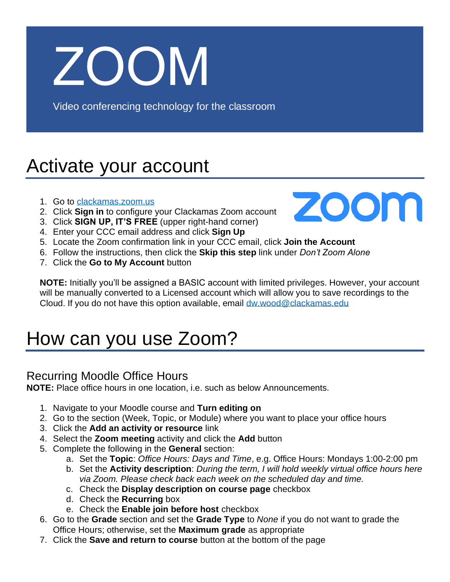# ZOOM

Video conferencing technology for the classroom

## Activate your account

- 1. Go to [clackamas.zoom.us](https://clackamas.zoom.us/)
- 2. Click **Sign in** to configure your Clackamas Zoom account
- 3. Click **SIGN UP, IT'S FREE** (upper right-hand corner)
- 4. Enter your CCC email address and click **Sign Up**
- 5. Locate the Zoom confirmation link in your CCC email, click **Join the Account**
- 6. Follow the instructions, then click the **Skip this step** link under *Don't Zoom Alone*
- 7. Click the **Go to My Account** button



**NOTE:** Initially you'll be assigned a BASIC account with limited privileges. However, your account will be manually converted to a Licensed account which will allow you to save recordings to the Cloud. If you do not have this option available, email [dw.wood@clackamas.edu](mailto:dw.wood@clackamas.edu)

## How can you use Zoom?

### Recurring Moodle Office Hours

**NOTE:** Place office hours in one location, i.e. such as below Announcements.

- 1. Navigate to your Moodle course and **Turn editing on**
- 2. Go to the section (Week, Topic, or Module) where you want to place your office hours
- 3. Click the **Add an activity or resource** link
- 4. Select the **Zoom meeting** activity and click the **Add** button
- 5. Complete the following in the **General** section:
	- a. Set the **Topic**: *Office Hours: Days and Time*, e.g. Office Hours: Mondays 1:00-2:00 pm
	- b. Set the **Activity description**: *During the term, I will hold weekly virtual office hours here via Zoom. Please check back each week on the scheduled day and time.*
	- c. Check the **Display description on course page** checkbox
	- d. Check the **Recurring** box
	- e. Check the **Enable join before host** checkbox
- 6. Go to the **Grade** section and set the **Grade Type** to *None* if you do not want to grade the Office Hours; otherwise, set the **Maximum grade** as appropriate
- 7. Click the **Save and return to course** button at the bottom of the page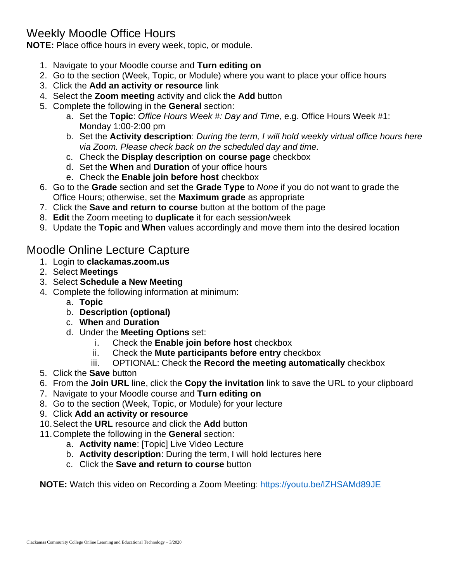### Weekly Moodle Office Hours

**NOTE:** Place office hours in every week, topic, or module.

- 1. Navigate to your Moodle course and **Turn editing on**
- 2. Go to the section (Week, Topic, or Module) where you want to place your office hours
- 3. Click the **Add an activity or resource** link
- 4. Select the **Zoom meeting** activity and click the **Add** button
- 5. Complete the following in the **General** section:
	- a. Set the **Topic**: *Office Hours Week #: Day and Time*, e.g. Office Hours Week #1: Monday 1:00-2:00 pm
	- b. Set the **Activity description**: *During the term, I will hold weekly virtual office hours here via Zoom. Please check back on the scheduled day and time.*
	- c. Check the **Display description on course page** checkbox
	- d. Set the **When** and **Duration** of your office hours
	- e. Check the **Enable join before host** checkbox
- 6. Go to the **Grade** section and set the **Grade Type** to *None* if you do not want to grade the Office Hours; otherwise, set the **Maximum grade** as appropriate
- 7. Click the **Save and return to course** button at the bottom of the page
- 8. **Edit** the Zoom meeting to **duplicate** it for each session/week
- 9. Update the **Topic** and **When** values accordingly and move them into the desired location

#### Moodle Online Lecture Capture

- 1. Login to **clackamas.zoom.us**
- 2. Select **Meetings**
- 3. Select **Schedule a New Meeting**
- 4. Complete the following information at minimum:
	- a. **Topic**
	- b. **Description (optional)**
	- c. **When** and **Duration**
	- d. Under the **Meeting Options** set:
		- i. Check the **Enable join before host** checkbox
		- ii. Check the **Mute participants before entry** checkbox
		- iii. OPTIONAL: Check the **Record the meeting automatically** checkbox
- 5. Click the **Save** button
- 6. From the **Join URL** line, click the **Copy the invitation** link to save the URL to your clipboard
- 7. Navigate to your Moodle course and **Turn editing on**
- 8. Go to the section (Week, Topic, or Module) for your lecture
- 9. Click **Add an activity or resource**
- 10.Select the **URL** resource and click the **Add** button
- 11.Complete the following in the **General** section:
	- a. **Activity name**: [Topic] Live Video Lecture
	- b. **Activity description**: During the term, I will hold lectures here
	- c. Click the **Save and return to course** button

**NOTE:** Watch this video on Recording a Zoom Meeting:<https://youtu.be/lZHSAMd89JE>